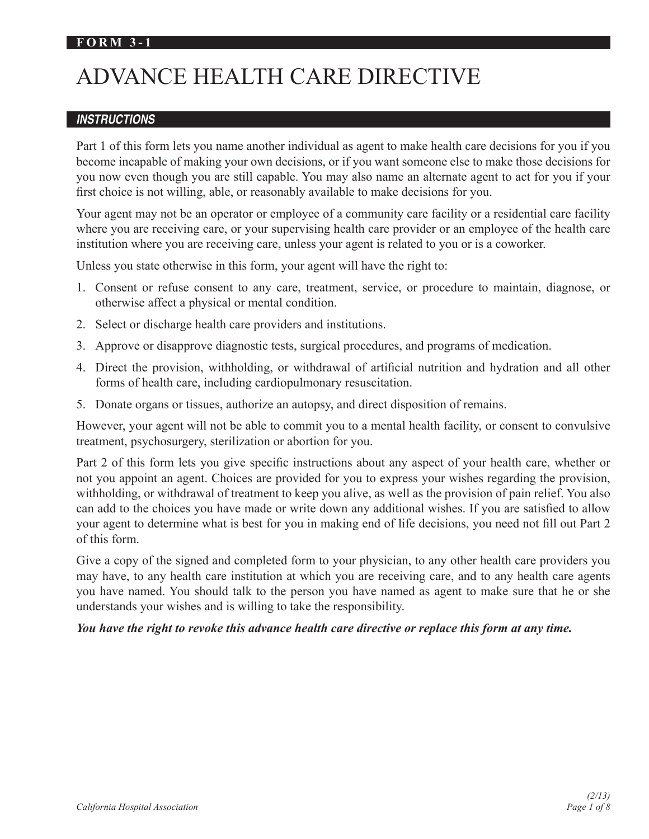#### **FORM 3-1**

# ADVANCE HEALTH CARE DIRECTIVE

#### *INSTRUCTIONS*

Part 1 of this form lets you name another individual as agent to make health care decisions for you if you become incapable of making your own decisions, or if you want someone else to make those decisions for you now even though you are still capable. You may also name an alternate agent to act for you if your first choice is not willing, able, or reasonably available to make decisions for you.

Your agent may not be an operator or employee of a community care facility or a residential care facility where you are receiving care, or your supervising health care provider or an employee of the health care institution where you are receiving care, unless your agent is related to you or is a coworker.

Unless you state otherwise in this form, your agent will have the right to:

- 1. Consent or refuse consent to any care, treatment, service, or procedure to maintain, diagnose, or otherwise affect a physical or mental condition.
- 2. Select or discharge health care providers and institutions.
- 3. Approve or disapprove diagnostic tests, surgical procedures, and programs of medication.
- 4. Direct the provision, withholding, or withdrawal of artificial nutrition and hydration and all other forms of health care, including cardiopulmonary resuscitation.
- 5. Donate organs or tissues, authorize an autopsy, and direct disposition of remains.

However, your agent will not be able to commit you to a mental health facility, or consent to convulsive treatment, psychosurgery, sterilization or abortion for you.

Part 2 of this form lets you give specific instructions about any aspect of your health care, whether or not you appoint an agent. Choices are provided for you to express your wishes regarding the provision, withholding, or withdrawal of treatment to keep you alive, as well as the provision of pain relief. You also can add to the choices you have made or write down any additional wishes. If you are satisfied to allow your agent to determine what is best for you in making end of life decisions, you need not fill out Part 2 of this form.

Give a copy of the signed and completed form to your physician, to any other health care providers you may have, to any health care institution at which you are receiving care, and to any health care agents you have named. You should talk to the person you have named as agent to make sure that he or she understands your wishes and is willing to take the responsibility.

#### *You have the right to revoke this advance health care directive or replace this form at any time.*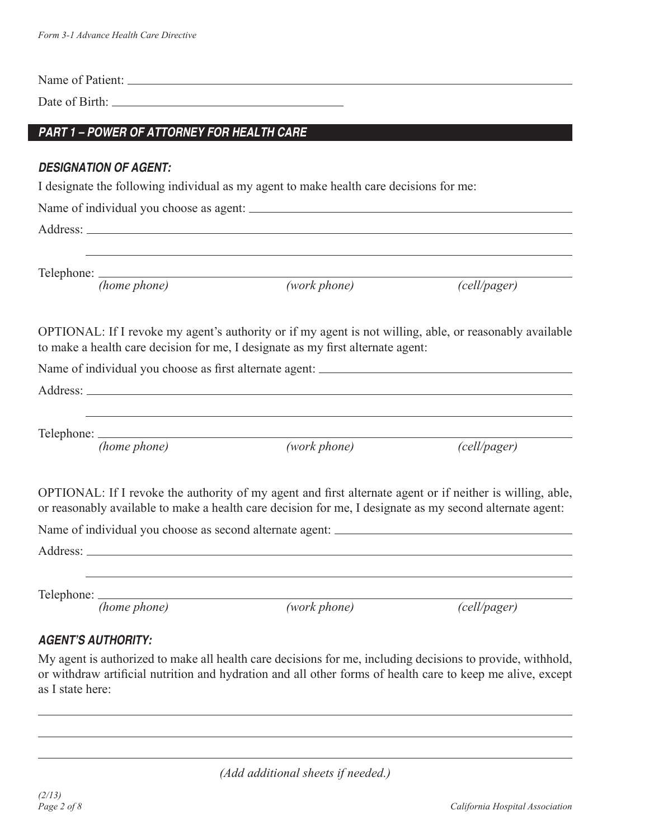| Date of Birth: 2008 and 2008 and 2008 and 2008 and 2008 and 2008 and 2008 and 2008 and 2008 and 2008 and 2008 and 2008 and 2008 and 2008 and 2008 and 2008 and 2008 and 2008 and 2008 and 2008 and 2008 and 2008 and 2008 and |              |              |
|-------------------------------------------------------------------------------------------------------------------------------------------------------------------------------------------------------------------------------|--------------|--------------|
| PART 1 - POWER OF ATTORNEY FOR HEALTH CARE                                                                                                                                                                                    |              |              |
| <b>DESIGNATION OF AGENT:</b>                                                                                                                                                                                                  |              |              |
| I designate the following individual as my agent to make health care decisions for me:                                                                                                                                        |              |              |
|                                                                                                                                                                                                                               |              |              |
|                                                                                                                                                                                                                               |              |              |
| (home phone)                                                                                                                                                                                                                  | (work phone) | (cell/pager) |
|                                                                                                                                                                                                                               |              |              |
| OPTIONAL: If I revoke my agent's authority or if my agent is not willing, able, or reasonably available<br>to make a health care decision for me, I designate as my first alternate agent:                                    |              |              |
|                                                                                                                                                                                                                               |              |              |
| (home phone)                                                                                                                                                                                                                  | (work phone) | (cell/pager) |
| OPTIONAL: If I revoke the authority of my agent and first alternate agent or if neither is willing, able,<br>or reasonably available to make a health care decision for me, I designate as my second alternate agent:         |              |              |
|                                                                                                                                                                                                                               |              |              |
|                                                                                                                                                                                                                               |              |              |
|                                                                                                                                                                                                                               |              |              |
| Telephone:<br>(home phone)                                                                                                                                                                                                    | (work phone) |              |

# *AGENT'S AUTHORITY:*

My agent is authorized to make all health care decisions for me, including decisions to provide, withhold, or withdraw artificial nutrition and hydration and all other forms of health care to keep me alive, except as I state here:

*(Add additional sheets if needed.)*

 $\overline{a}$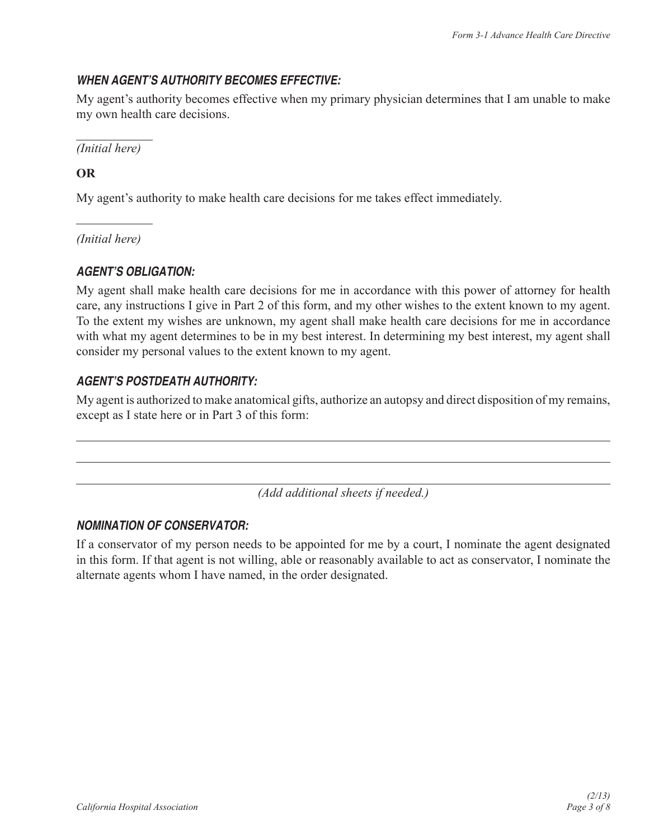#### *WHEN AGENT'S AUTHORITY BECOMES EFFECTIVE:*

My agent's authority becomes effective when my primary physician determines that I am unable to make my own health care decisions.

 $\overline{a}$ *(Initial here)*

## **OR**

 $\overline{a}$ 

 $\overline{a}$ 

My agent's authority to make health care decisions for me takes effect immediately.

*(Initial here)*

## *AGENT'S OBLIGATION:*

My agent shall make health care decisions for me in accordance with this power of attorney for health care, any instructions I give in Part 2 of this form, and my other wishes to the extent known to my agent. To the extent my wishes are unknown, my agent shall make health care decisions for me in accordance with what my agent determines to be in my best interest. In determining my best interest, my agent shall consider my personal values to the extent known to my agent.

## *AGENT'S POSTDEATH AUTHORITY:*

My agent is authorized to make anatomical gifts, authorize an autopsy and direct disposition of my remains, except as I state here or in Part 3 of this form:

*(Add additional sheets if needed.)*

#### *NOMINATION OF CONSERVATOR:*

If a conservator of my person needs to be appointed for me by a court, I nominate the agent designated in this form. If that agent is not willing, able or reasonably available to act as conservator, I nominate the alternate agents whom I have named, in the order designated.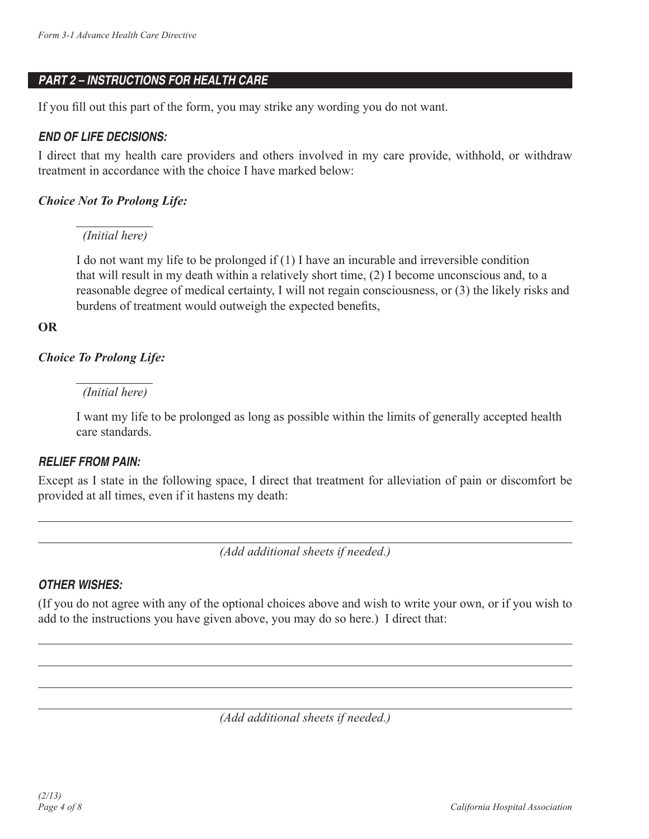## *PART 2 – INSTRUCTIONS FOR HEALTH CARE*

If you fill out this part of the form, you may strike any wording you do not want.

#### *END OF LIFE DECISIONS:*

I direct that my health care providers and others involved in my care provide, withhold, or withdraw treatment in accordance with the choice I have marked below:

#### *Choice Not To Prolong Life:*

#### *(Initial here)*

I do not want my life to be prolonged if (1) I have an incurable and irreversible condition that will result in my death within a relatively short time, (2) I become unconscious and, to a reasonable degree of medical certainty, I will not regain consciousness, or (3) the likely risks and burdens of treatment would outweigh the expected benefits,

#### **OR**

 $\overline{a}$ 

 $\overline{a}$ 

## *Choice To Prolong Life:*

## *(Initial here)*

I want my life to be prolonged as long as possible within the limits of generally accepted health care standards.

## *RELIEF FROM PAIN:*

Except as I state in the following space, I direct that treatment for alleviation of pain or discomfort be provided at all times, even if it hastens my death:

*(Add additional sheets if needed.)*

# *OTHER WISHES:*

(If you do not agree with any of the optional choices above and wish to write your own, or if you wish to add to the instructions you have given above, you may do so here.) I direct that:

*(Add additional sheets if needed.)*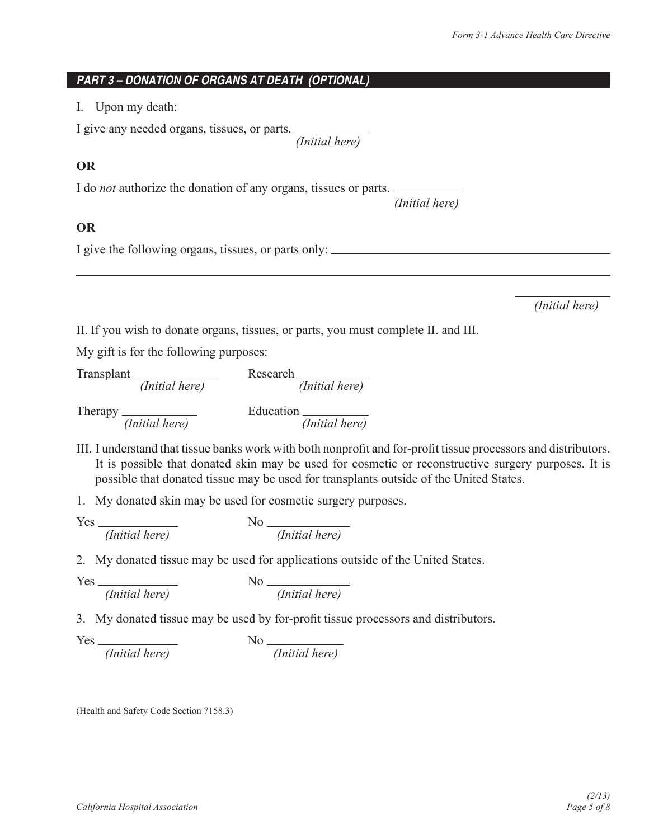#### *PART 3 – DONATION OF ORGANS AT DEATH (OPTIONAL)*

I. Upon my death:

I give any needed organs, tissues, or parts. *(Initial here)*

 *(Initial here)*

#### **OR**

I do *not* authorize the donation of any organs, tissues or parts.

#### **OR**

 $\overline{a}$ 

I give the following organs, tissues, or parts only:

*(Initial here)*

II. If you wish to donate organs, tissues, or parts, you must complete II. and III.

My gift is for the following purposes:

Transplant Research  *(Initial here) (Initial here)* Therapy *(Initial here)* Education *(Initial here)* Equation *(Initial here)* 

III. I understand that tissue banks work with both nonprofit and for-profit tissue processors and distributors. It is possible that donated skin may be used for cosmetic or reconstructive surgery purposes. It is possible that donated tissue may be used for transplants outside of the United States.

1. My donated skin may be used for cosmetic surgery purposes.

 $Yes \frac{1}{\text{Initial here}}$ *(Initial here) (Initial here)*

2. My donated tissue may be used for applications outside of the United States.

 $Yes \frac{1}{\text{Initial here}}$ *(Initial here) (Initial here)*

3. My donated tissue may be used by for-profit tissue processors and distributors.

Yes *(Initial here)* No *(Initial here)* No *(Initial here)* 

(Health and Safety Code Section 7158.3)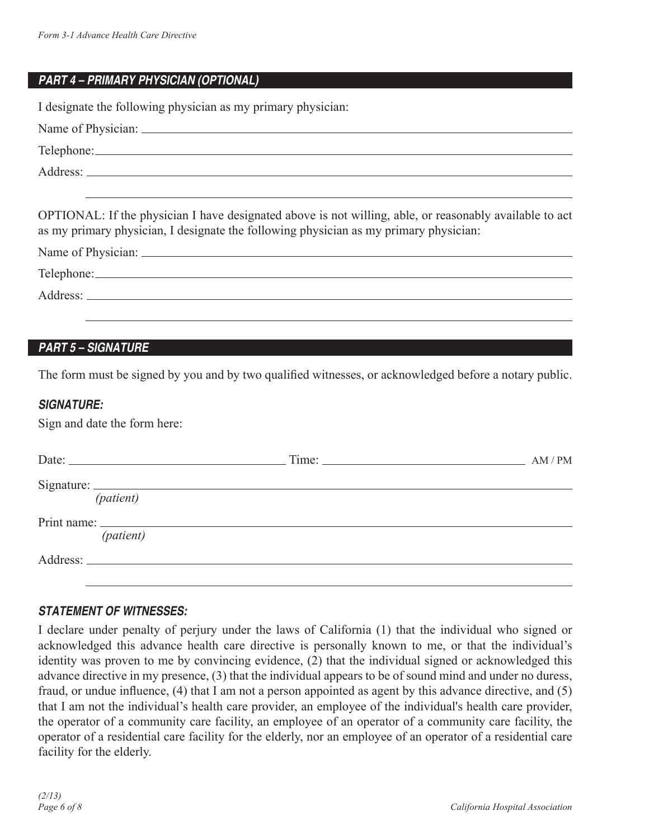## *PART 4 – PRIMARY PHYSICIAN (OPTIONAL)*

I designate the following physician as my primary physician:

| OPTIONAL: If the physician I have designated above is not willing, able, or reasonably available to act<br>as my primary physician, I designate the following physician as my primary physician: |
|--------------------------------------------------------------------------------------------------------------------------------------------------------------------------------------------------|

| Name of Physician: _ |  |  |  |
|----------------------|--|--|--|
| Telephone:           |  |  |  |
| Address:             |  |  |  |
|                      |  |  |  |

## *PART 5 – SIGNATURE*

The form must be signed by you and by two qualified witnesses, or acknowledged before a notary public.

#### *SIGNATURE:*

Sign and date the form here:

| Date: $\frac{1}{2}$              | Time: | AM/PM |
|----------------------------------|-------|-------|
| Signature: $\frac{1}{(patient)}$ |       |       |
| (patient)                        |       |       |
|                                  |       |       |

#### *STATEMENT OF WITNESSES:*

I declare under penalty of perjury under the laws of California (1) that the individual who signed or acknowledged this advance health care directive is personally known to me, or that the individual's identity was proven to me by convincing evidence, (2) that the individual signed or acknowledged this advance directive in my presence, (3) that the individual appears to be of sound mind and under no duress, fraud, or undue influence, (4) that I am not a person appointed as agent by this advance directive, and (5) that I am not the individual's health care provider, an employee of the individual's health care provider, the operator of a community care facility, an employee of an operator of a community care facility, the operator of a residential care facility for the elderly, nor an employee of an operator of a residential care facility for the elderly.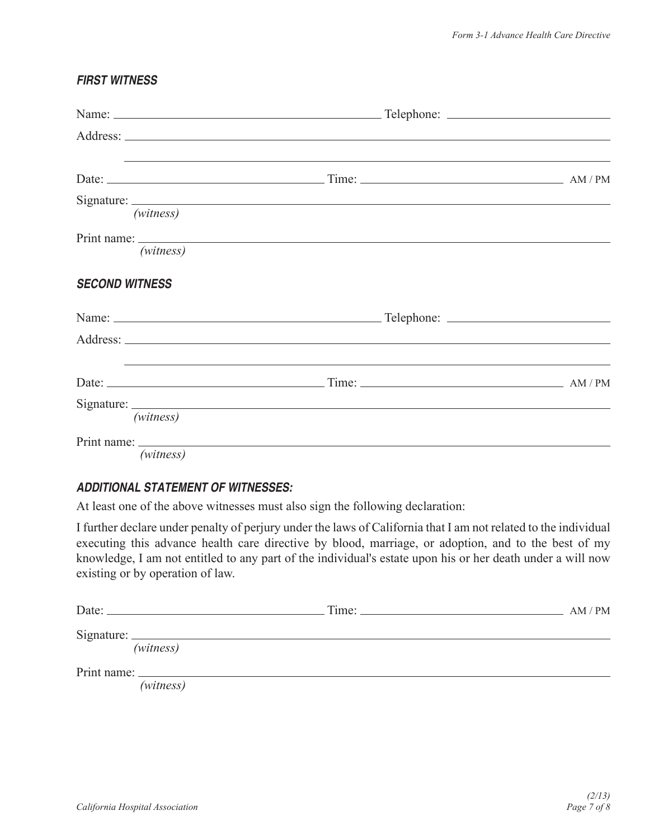#### *FIRST WITNESS*

| (witness)             |                                                                                                                       |  |
|-----------------------|-----------------------------------------------------------------------------------------------------------------------|--|
| (witness)             |                                                                                                                       |  |
| <b>SECOND WITNESS</b> |                                                                                                                       |  |
|                       |                                                                                                                       |  |
|                       |                                                                                                                       |  |
|                       |                                                                                                                       |  |
| (witness)             |                                                                                                                       |  |
| (witness)             | <u> 1989 - John Stone, markin samani ya kutoka mwaka wa 1989 - Andrea mwaka wa 1989 - Andrea mwaka wa 1989 - Andr</u> |  |

#### *ADDITIONAL STATEMENT OF WITNESSES:*

At least one of the above witnesses must also sign the following declaration:

I further declare under penalty of perjury under the laws of California that I am not related to the individual executing this advance health care directive by blood, marriage, or adoption, and to the best of my knowledge, I am not entitled to any part of the individual's estate upon his or her death under a will now existing or by operation of law.

| Date: $\qquad \qquad$ | $\overline{\text{Time:}}$ | AM/PM |
|-----------------------|---------------------------|-------|
| Signature:            |                           |       |
| (witness)             |                           |       |
|                       |                           |       |
| (witness)             |                           |       |